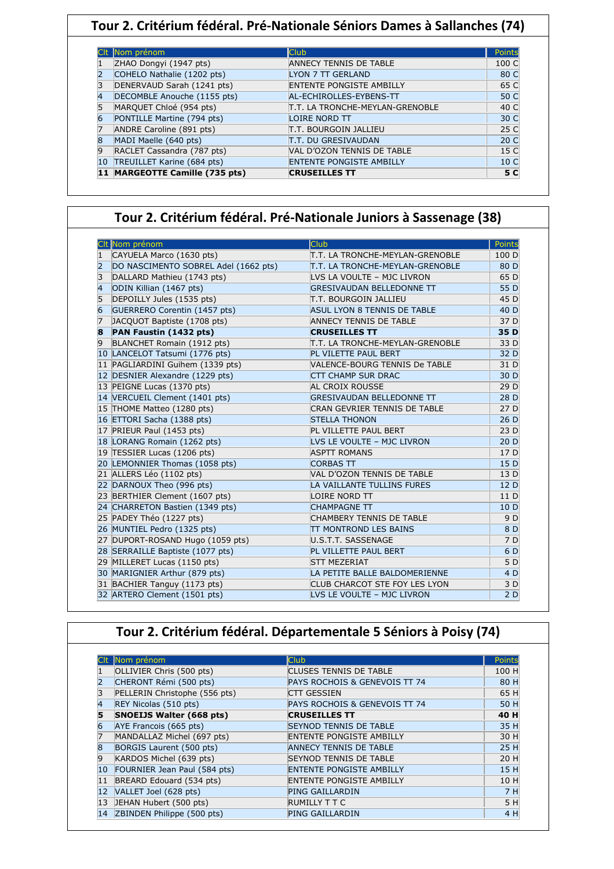|    | Nom prénom                     | <b>Club</b>                     | Points          |
|----|--------------------------------|---------------------------------|-----------------|
|    | ZHAO Dongyi (1947 pts)         | <b>ANNECY TENNIS DE TABLE</b>   | 100 C           |
|    | COHELO Nathalie (1202 pts)     | <b>LYON 7 TT GERLAND</b>        | 80 C            |
|    | DENERVAUD Sarah (1241 pts)     | <b>ENTENTE PONGISTE AMBILLY</b> | 65 C            |
|    | DECOMBLE Anouche (1155 pts)    | AL-ECHIROLLES-EYBENS-TT         | 50 C            |
| 5  | MARQUET Chloé (954 pts)        | T.T. LA TRONCHE-MEYLAN-GRENOBLE | 40 C            |
|    | PONTILLE Martine (794 pts)     | LOIRE NORD TT                   | 30 C            |
|    | ANDRE Caroline (891 pts)       | T.T. BOURGOIN JALLIEU           | 25 C            |
| 8  | MADI Maelle (640 pts)          | T.T. DU GRESIVAUDAN             | 20 C            |
| 9  | RACLET Cassandra (787 pts)     | VAL D'OZON TENNIS DE TABLE      | 15 C            |
| 10 | TREUILLET Karine (684 pts)     | <b>ENTENTE PONGISTE AMBILLY</b> | 10 <sub>C</sub> |
|    | 11 MARGEOTTE Camille (735 pts) | <b>CRUSEILLES TT</b>            | 5 C             |

## **Tour 2. Critérium fédéral. Pré-Nationale Juniors à Sassenage (38)**

|                | CIt Nom prénom                       | Club                                 | Points          |
|----------------|--------------------------------------|--------------------------------------|-----------------|
|                | CAYUELA Marco (1630 pts)             | T.T. LA TRONCHE-MEYLAN-GRENOBLE      | 100 D           |
| 2              | DO NASCIMENTO SOBREL Adel (1662 pts) | T.T. LA TRONCHE-MEYLAN-GRENOBLE      | 80 D            |
| 3              | DALLARD Mathieu (1743 pts)           | LVS LA VOULTE - MJC LIVRON           | 65 D            |
| $\overline{4}$ | ODIN Killian (1467 pts)              | <b>GRESIVAUDAN BELLEDONNE TT</b>     | 55 D            |
| 5              | DEPOILLY Jules (1535 pts)            | <b>T.T. BOURGOIN JALLIEU</b>         | 45 D            |
| 6              | GUERRERO Corentin (1457 pts)         | <b>ASUL LYON 8 TENNIS DE TABLE</b>   | 40 D            |
| 7              | JACQUOT Baptiste (1708 pts)          | <b>ANNECY TENNIS DE TABLE</b>        | 37 D            |
| 8              | PAN Faustin (1432 pts)               | <b>CRUSEILLES TT</b>                 | 35 D            |
| 9              | BLANCHET Romain (1912 pts)           | T.T. LA TRONCHE-MEYLAN-GRENOBLE      | 33 D            |
|                | 10 LANCELOT Tatsumi (1776 pts)       | PL VILETTE PAUL BERT                 | 32 D            |
|                | 11 PAGLIARDINI Guihem (1339 pts)     | VALENCE-BOURG TENNIS De TABLE        | 31 D            |
|                | 12 DESNIER Alexandre (1229 pts)      | <b>CTT CHAMP SUR DRAC</b>            | 30 D            |
|                | 13 PEIGNE Lucas (1370 pts)           | AL CROIX ROUSSE                      | 29 D            |
|                | 14 VERCUEIL Clement (1401 pts)       | <b>GRESIVAUDAN BELLEDONNE TT</b>     | 28 D            |
|                | 15 THOME Matteo (1280 pts)           | CRAN GEVRIER TENNIS DE TABLE         | 27 D            |
|                | 16 ETTORI Sacha (1388 pts)           | <b>STELLA THONON</b>                 | 26 D            |
|                | 17 PRIEUR Paul (1453 pts)            | PL VILLETTE PAUL BERT                | 23 D            |
|                | 18 LORANG Romain (1262 pts)          | LVS LE VOULTE - MJC LIVRON           | 20 <sub>D</sub> |
|                | 19 TESSIER Lucas (1206 pts)          | <b>ASPTT ROMANS</b>                  | 17 D            |
|                | 20 LEMONNIER Thomas (1058 pts)       | <b>CORBAS TT</b>                     | 15 D            |
|                | 21 ALLERS Léo (1102 pts)             | VAL D'OZON TENNIS DE TABLE           | 13 D            |
|                | 22 DARNOUX Theo (996 pts)            | LA VAILLANTE TULLINS FURES           | 12 D            |
|                | 23 BERTHIER Clement (1607 pts)       | LOIRE NORD TT                        | 11 D            |
|                | 24 CHARRETON Bastien (1349 pts)      | <b>CHAMPAGNE TT</b>                  | 10 <sub>D</sub> |
|                | 25 PADEY Théo (1227 pts)             | CHAMBERY TENNIS DE TABLE             | 9 D             |
|                | 26 MUNTIEL Pedro (1325 pts)          | <b>TT MONTROND LES BAINS</b>         | 8 D             |
|                | 27 DUPORT-ROSAND Hugo (1059 pts)     | U.S.T.T. SASSENAGE                   | 7 D             |
|                | 28 SERRAILLE Baptiste (1077 pts)     | PL VILLETTE PAUL BERT                | 6 D             |
|                | 29 MILLERET Lucas (1150 pts)         | <b>STT MEZERIAT</b>                  | 5 D             |
|                | 30 MARIGNIER Arthur (879 pts)        | LA PETITE BALLE BALDOMERIENNE        | 4 D             |
|                | 31 BACHIER Tanguy (1173 pts)         | <b>CLUB CHARCOT STE FOY LES LYON</b> | 3 D             |
|                | 32 ARTERO Clement (1501 pts)         | LVS LE VOULTE - MJC LIVRON           | 2D              |

## **Tour 2. Critérium fédéral. Départementale 5 Séniors à Poisy (74)**

|              | Nom prénom                    | <b>Club</b>                     | Points |
|--------------|-------------------------------|---------------------------------|--------|
|              | OLLIVIER Chris (500 pts)      | <b>CLUSES TENNIS DE TABLE</b>   | 100 H  |
|              | CHERONT Rémi (500 pts)        | PAYS ROCHOIS & GENEVOIS TT 74   | 80 H   |
|              | PELLERIN Christophe (556 pts) | <b>CTT GESSIEN</b>              | 65 H   |
|              | REY Nicolas (510 pts)         | PAYS ROCHOIS & GENEVOIS TT 74   | 50 H   |
|              | SNOEIJS Walter (668 pts)      | <b>CRUSEILLES TT</b>            | 40 H   |
|              | AYE Francois (665 pts)        | <b>SEYNOD TENNIS DE TABLE</b>   | 35 H   |
|              | MANDALLAZ Michel (697 pts)    | <b>ENTENTE PONGISTE AMBILLY</b> | 30 H   |
| <sub>8</sub> | BORGIS Laurent (500 pts)      | <b>ANNECY TENNIS DE TABLE</b>   | 25 H   |
| 9            | KARDOS Michel (639 pts)       | <b>SEYNOD TENNIS DE TABLE</b>   | 20 H   |
| 10           | FOURNIER Jean Paul (584 pts)  | <b>ENTENTE PONGISTE AMBILLY</b> | 15 H   |
| 11           | BREARD Edouard (534 pts)      | <b>ENTENTE PONGISTE AMBILLY</b> | 10 H   |
| 12           | VALLET Joel (628 pts)         | <b>PING GAILLARDIN</b>          | 7 H    |
| 13           | JEHAN Hubert (500 pts)        | <b>RUMILLY T T C</b>            | 5 H    |
| 14           | ZBINDEN Philippe (500 pts)    | <b>PING GAILLARDIN</b>          | 4 H    |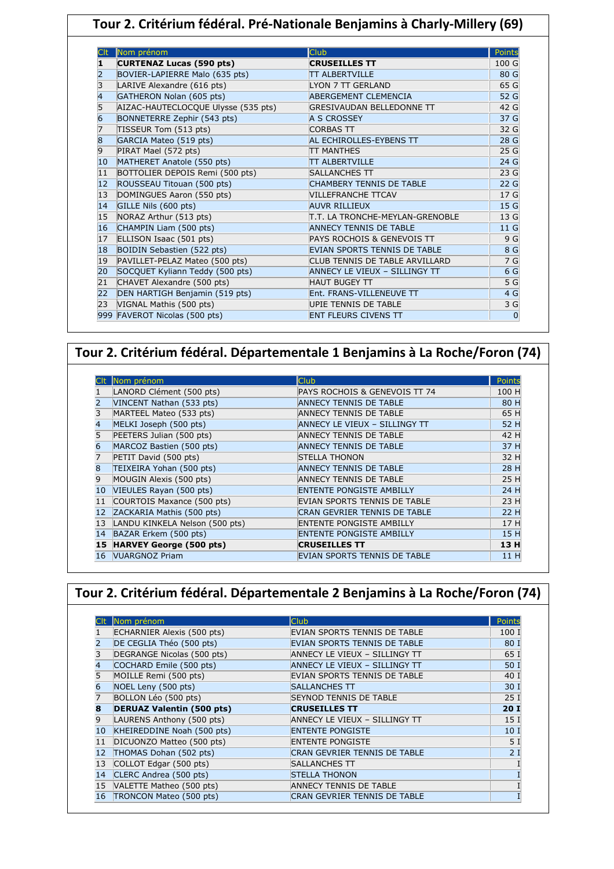| Tour 2. Critérium fédéral. Pré-Nationale Benjamins à Charly-Millery (69) |                                               |                                  |                 |
|--------------------------------------------------------------------------|-----------------------------------------------|----------------------------------|-----------------|
|                                                                          |                                               |                                  |                 |
|                                                                          | Nom prénom<br><b>CURTENAZ Lucas (590 pts)</b> | Club<br><b>CRUSEILLES TT</b>     | Points<br>100 G |
| 2                                                                        | BOVIER-LAPIERRE Malo (635 pts)                | <b>TT ALBERTVILLE</b>            | 80 G            |
| 3                                                                        | LARIVE Alexandre (616 pts)                    | LYON 7 TT GERLAND                | 65 G            |
|                                                                          | GATHERON Nolan (605 pts)                      | ABERGEMENT CLEMENCIA             | 52 G            |
| 5                                                                        | AIZAC-HAUTECLOCQUE Ulysse (535 pts)           | <b>GRESIVAUDAN BELLEDONNE TT</b> | 42 G            |
| 6                                                                        | BONNETERRE Zephir (543 pts)                   | A S CROSSEY                      | 37 G            |
| 7                                                                        | TISSEUR Tom (513 pts)                         | <b>CORBAS TT</b>                 | 32 G            |
| 8                                                                        | GARCIA Mateo (519 pts)                        | AL ECHIROLLES-EYBENS TT          | 28 G            |
| 9                                                                        | PIRAT Mael (572 pts)                          | <b>TT MANTHES</b>                | 25 G            |
| 10                                                                       | MATHERET Anatole (550 pts)                    | <b>TT ALBERTVILLE</b>            | 24 <sub>G</sub> |
| 11                                                                       | BOTTOLIER DEPOIS Remi (500 pts)               | SALLANCHES TT                    | 23 G            |
| 12                                                                       | ROUSSEAU Titouan (500 pts)                    | <b>CHAMBERY TENNIS DE TABLE</b>  | 22 G            |
| 13                                                                       | DOMINGUES Aaron (550 pts)                     | <b>VILLEFRANCHE TTCAV</b>        | 17 G            |
| 14                                                                       | GILLE Nils (600 pts)                          | <b>AUVR RILLIEUX</b>             | 15 G            |
| 15                                                                       | NORAZ Arthur (513 pts)                        | T.T. LA TRONCHE-MEYLAN-GRENOBLE  | 13 G            |
| 16                                                                       | CHAMPIN Liam (500 pts)                        | <b>ANNECY TENNIS DE TABLE</b>    | 11 G            |
| 17                                                                       | ELLISON Isaac (501 pts)                       | PAYS ROCHOIS & GENEVOIS TT       | 9 <sub>G</sub>  |
| 18                                                                       | BOIDIN Sebastien (522 pts)                    | EVIAN SPORTS TENNIS DE TABLE     | 8 G             |
| 19                                                                       | PAVILLET-PELAZ Mateo (500 pts)                | CLUB TENNIS DE TABLE ARVILLARD   | 7 G             |
| 20                                                                       | SOCQUET Kyliann Teddy (500 pts)               | ANNECY LE VIEUX - SILLINGY TT    | 6 G             |
| 21                                                                       | CHAVET Alexandre (500 pts)                    | <b>HAUT BUGEY TT</b>             | 5 G             |
| 22                                                                       | DEN HARTIGH Benjamin (519 pts)                | Ent. FRANS-VILLENEUVE TT         | 4 <sub>G</sub>  |
| 23                                                                       | VIGNAL Mathis (500 pts)                       | UPIE TENNIS DE TABLE             | 3 G             |
|                                                                          | 999 FAVEROT Nicolas (500 pts)                 | <b>ENT FLEURS CIVENS TT</b>      | 0               |
|                                                                          |                                               |                                  |                 |

## **Tour 2. Critérium fédéral. Départementale 1 Benjamins à La Roche/Foron (74)**

|              | Nom prénom                     | Club                                | Points |
|--------------|--------------------------------|-------------------------------------|--------|
|              | LANORD Clément (500 pts)       | PAYS ROCHOIS & GENEVOIS TT 74       | 100 H  |
|              | VINCENT Nathan (533 pts)       | <b>ANNECY TENNIS DE TABLE</b>       | 80 H   |
| 3            | MARTEEL Mateo (533 pts)        | <b>ANNECY TENNIS DE TABLE</b>       | 65 H   |
| 4            | MELKI Joseph (500 pts)         | ANNECY LE VIEUX - SILLINGY TT       | 52 H   |
| 5            | PEETERS Julian (500 pts)       | <b>ANNECY TENNIS DE TABLE</b>       | 42 H   |
| 6            | MARCOZ Bastien (500 pts)       | <b>ANNECY TENNIS DE TABLE</b>       | 37 H   |
| 7            | PETIT David (500 pts)          | <b>STELLA THONON</b>                | 32 H   |
| 8            | TEIXEIRA Yohan (500 pts)       | <b>ANNECY TENNIS DE TABLE</b>       | 28 H   |
| 9            | MOUGIN Alexis (500 pts)        | <b>ANNECY TENNIS DE TABLE</b>       | 25 H   |
| $ 10\rangle$ | VIEULES Rayan (500 pts)        | <b>ENTENTE PONGISTE AMBILLY</b>     | 24 H   |
| 11           | COURTOIS Maxance (500 pts)     | EVIAN SPORTS TENNIS DE TABLE        | 23 H   |
| 12           | ZACKARIA Mathis (500 pts)      | CRAN GEVRIER TENNIS DE TABLE        | 22 H   |
| 13           | LANDU KINKELA Nelson (500 pts) | <b>ENTENTE PONGISTE AMBILLY</b>     | 17 H   |
| 14           | BAZAR Erkem (500 pts)          | <b>ENTENTE PONGISTE AMBILLY</b>     | 15 H   |
| 15           | <b>HARVEY George (500 pts)</b> | <b>CRUSEILLES TT</b>                | 13 H   |
| 16           | <b>VUARGNOZ Priam</b>          | <b>EVIAN SPORTS TENNIS DE TABLE</b> | 11 H   |

|    | Tour 2. Critérium fédéral. Départementale 2 Benjamins à La Roche/Foron (74) |                                     |                 |
|----|-----------------------------------------------------------------------------|-------------------------------------|-----------------|
|    |                                                                             |                                     |                 |
|    | Nom prénom                                                                  | <b>Club</b>                         | <b>Points</b>   |
|    | ECHARNIER Alexis (500 pts)                                                  | EVIAN SPORTS TENNIS DE TABLE        | 100 I           |
|    | DE CEGLIA Théo (500 pts)                                                    | <b>EVIAN SPORTS TENNIS DE TABLE</b> | 80 I            |
|    | DEGRANGE Nicolas (500 pts)                                                  | ANNECY LE VIEUX - SILLINGY TT       | 65 I            |
| 4  | COCHARD Emile (500 pts)                                                     | ANNECY LE VIEUX - SILLINGY TT       | 50 I            |
|    | MOILLE Remi (500 pts)                                                       | EVIAN SPORTS TENNIS DE TABLE        | 40 I            |
| 6  | NOEL Leny (500 pts)                                                         | SALLANCHES TT                       | 30 I            |
|    | BOLLON Léo (500 pts)                                                        | <b>SEYNOD TENNIS DE TABLE</b>       | 25I             |
| 8  | <b>DERUAZ Valentin (500 pts)</b>                                            | <b>CRUSEILLES TT</b>                | 20I             |
| 9  | LAURENS Anthony (500 pts)                                                   | ANNECY LE VIEUX - SILLINGY TT       | 15 <sub>1</sub> |
| 10 | KHEIREDDINE Noah (500 pts)                                                  | <b>ENTENTE PONGISTE</b>             | 10 <sub>1</sub> |
| 11 | DICUONZO Matteo (500 pts)                                                   | <b>ENTENTE PONGISTE</b>             | 5 I             |
| 12 | THOMAS Dohan (502 pts)                                                      | <b>CRAN GEVRIER TENNIS DE TABLE</b> | 21              |
| 13 | COLLOT Edgar (500 pts)                                                      | SALLANCHES TT                       |                 |
| 14 | CLERC Andrea (500 pts)                                                      | <b>STELLA THONON</b>                |                 |
| 15 | VALETTE Matheo (500 pts)                                                    | ANNECY TENNIS DE TABLE              |                 |
| 16 | TRONCON Mateo (500 pts)                                                     | <b>CRAN GEVRIER TENNIS DE TABLE</b> |                 |